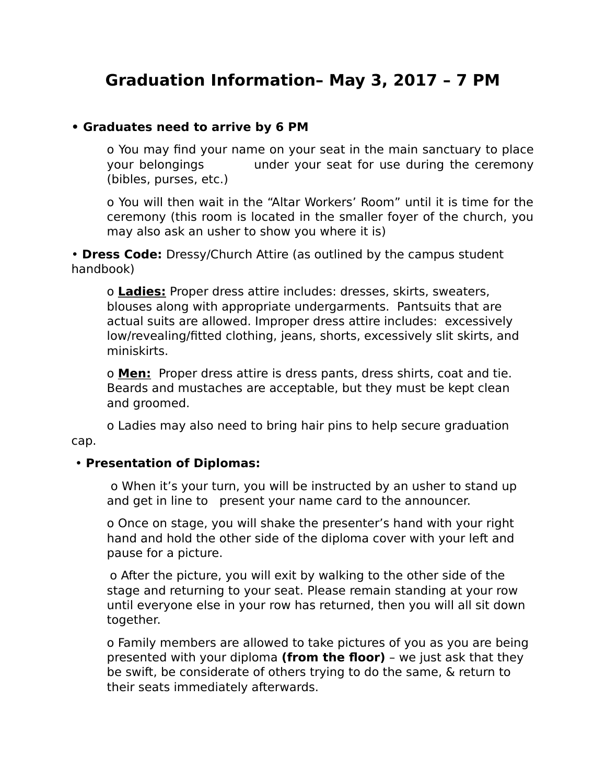## Graduation Information- May 3, 2017 - 7 PM

## • Graduates need to arrive by 6 PM

o You may find your name on your seat in the main sanctuary to place your belongings under your seat for use during the ceremony (bibles, purses, etc.)

o You will then wait in the "Altar Workers' Room" until it is time for the ceremony (this room is located in the smaller foyer of the church, you may also ask an usher to show you where it is)

• Dress Code: Dressy/Church Attire (as outlined by the campus student handbook)

o Ladies: Proper dress attire includes: dresses, skirts, sweaters, blouses along with appropriate undergarments. Pantsuits that are actual suits are allowed. Improper dress attire includes: excessively low/revealing/fitted clothing, jeans, shorts, excessively slit skirts, and miniskirts.

o Men: Proper dress attire is dress pants, dress shirts, coat and tie. Beards and mustaches are acceptable, but they must be kept clean and groomed.

o Ladies may also need to bring hair pins to help secure graduation cap.

## • Presentation of Diplomas:

o When it's your turn, you will be instructed by an usher to stand up and get in line to present your name card to the announcer.

o Once on stage, you will shake the presenter's hand with your right hand and hold the other side of the diploma cover with your left and pause for a picture.

o After the picture, you will exit by walking to the other side of the stage and returning to your seat. Please remain standing at your row until everyone else in your row has returned, then you will all sit down together.

o Family members are allowed to take pictures of you as you are being presented with your diploma (from the floor) - we just ask that they be swift, be considerate of others trying to do the same, & return to their seats immediately afterwards.